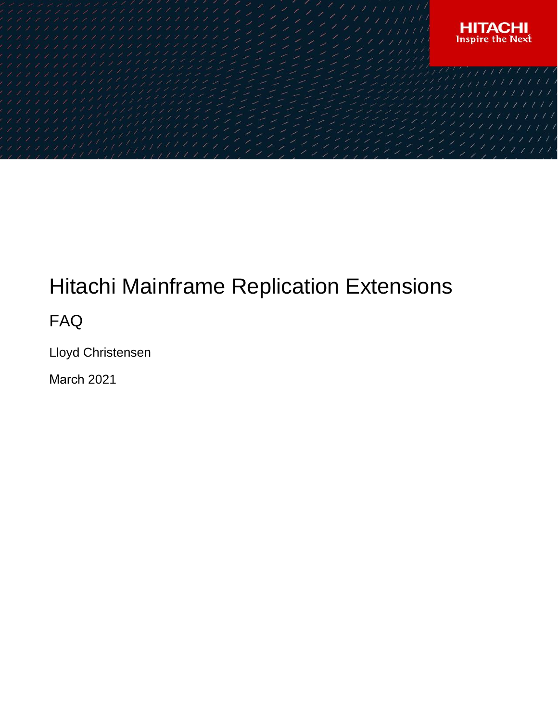

# Hitachi Mainframe Replication Extensions

FAQ

Lloyd Christensen

March 2021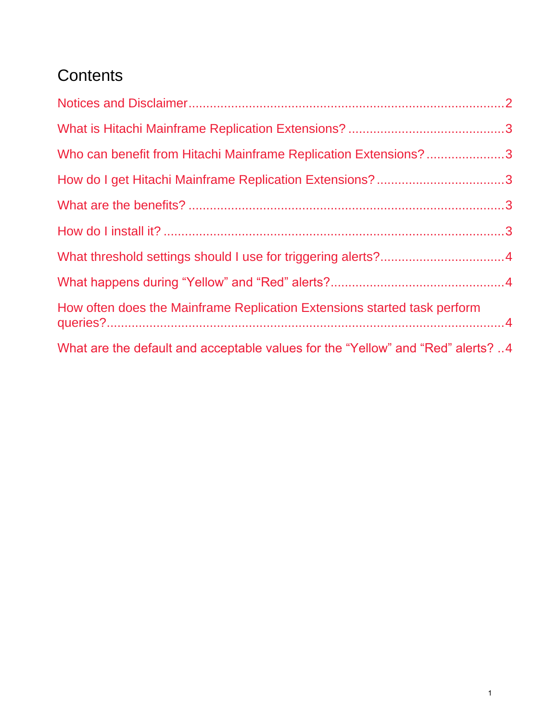## **Contents**

| Who can benefit from Hitachi Mainframe Replication Extensions?3                 |  |
|---------------------------------------------------------------------------------|--|
| How do I get Hitachi Mainframe Replication Extensions?3                         |  |
|                                                                                 |  |
|                                                                                 |  |
|                                                                                 |  |
|                                                                                 |  |
| How often does the Mainframe Replication Extensions started task perform        |  |
| What are the default and acceptable values for the "Yellow" and "Red" alerts? 4 |  |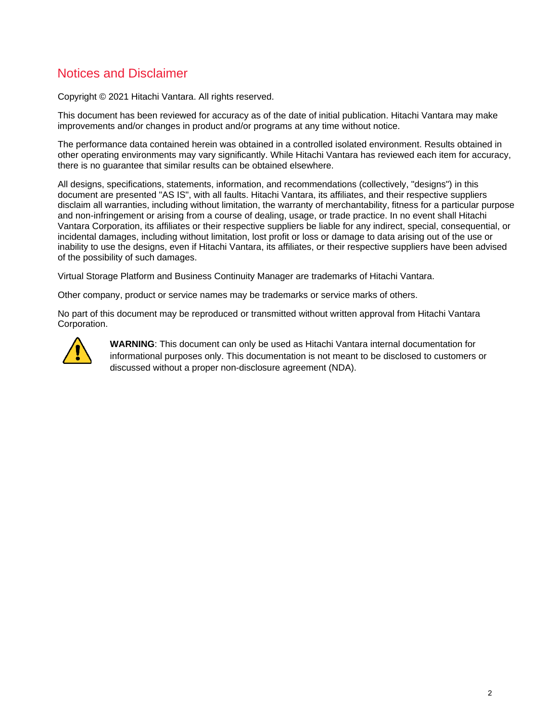### <span id="page-2-0"></span>Notices and Disclaimer

Copyright © 2021 Hitachi Vantara. All rights reserved.

This document has been reviewed for accuracy as of the date of initial publication. Hitachi Vantara may make improvements and/or changes in product and/or programs at any time without notice.

The performance data contained herein was obtained in a controlled isolated environment. Results obtained in other operating environments may vary significantly. While Hitachi Vantara has reviewed each item for accuracy, there is no guarantee that similar results can be obtained elsewhere.

All designs, specifications, statements, information, and recommendations (collectively, "designs") in this document are presented "AS IS", with all faults. Hitachi Vantara, its affiliates, and their respective suppliers disclaim all warranties, including without limitation, the warranty of merchantability, fitness for a particular purpose and non-infringement or arising from a course of dealing, usage, or trade practice. In no event shall Hitachi Vantara Corporation, its affiliates or their respective suppliers be liable for any indirect, special, consequential, or incidental damages, including without limitation, lost profit or loss or damage to data arising out of the use or inability to use the designs, even if Hitachi Vantara, its affiliates, or their respective suppliers have been advised of the possibility of such damages.

Virtual Storage Platform and Business Continuity Manager are trademarks of Hitachi Vantara.

Other company, product or service names may be trademarks or service marks of others.

No part of this document may be reproduced or transmitted without written approval from Hitachi Vantara Corporation.



**WARNING**: This document can only be used as Hitachi Vantara internal documentation for informational purposes only. This documentation is not meant to be disclosed to customers or discussed without a proper non-disclosure agreement (NDA).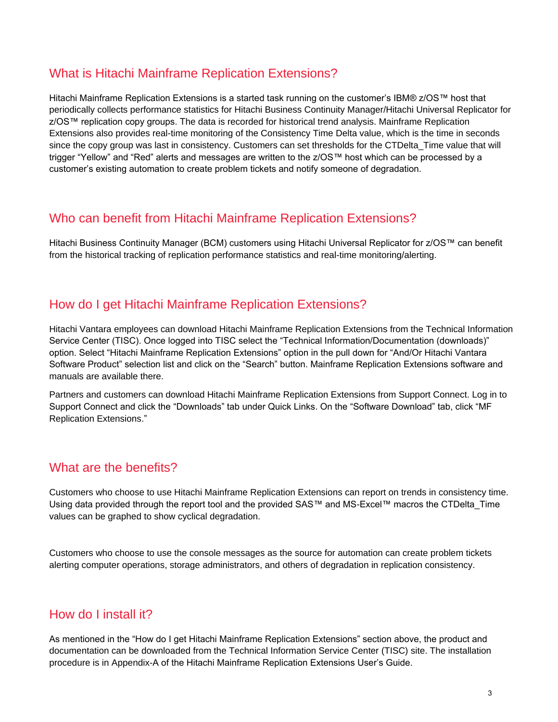#### <span id="page-3-0"></span>What is Hitachi Mainframe Replication Extensions?

Hitachi Mainframe Replication Extensions is a started task running on the customer's IBM® z/OS™ host that periodically collects performance statistics for Hitachi Business Continuity Manager/Hitachi Universal Replicator for z/OS™ replication copy groups. The data is recorded for historical trend analysis. Mainframe Replication Extensions also provides real-time monitoring of the Consistency Time Delta value, which is the time in seconds since the copy group was last in consistency. Customers can set thresholds for the CTDelta\_Time value that will trigger "Yellow" and "Red" alerts and messages are written to the z/OS™ host which can be processed by a customer's existing automation to create problem tickets and notify someone of degradation.

#### <span id="page-3-1"></span>Who can benefit from Hitachi Mainframe Replication Extensions?

Hitachi Business Continuity Manager (BCM) customers using Hitachi Universal Replicator for z/OS™ can benefit from the historical tracking of replication performance statistics and real-time monitoring/alerting.

#### <span id="page-3-2"></span>How do I get Hitachi Mainframe Replication Extensions?

Hitachi Vantara employees can download Hitachi Mainframe Replication Extensions from the Technical Information Service Center (TISC). Once logged into TISC select the "Technical Information/Documentation (downloads)" option. Select "Hitachi Mainframe Replication Extensions" option in the pull down for "And/Or Hitachi Vantara Software Product" selection list and click on the "Search" button. Mainframe Replication Extensions software and manuals are available there.

Partners and customers can download Hitachi Mainframe Replication Extensions from Support Connect. Log in to Support Connect and click the "Downloads" tab under Quick Links. On the "Software Download" tab, click "MF Replication Extensions."

#### <span id="page-3-3"></span>What are the benefits?

Customers who choose to use Hitachi Mainframe Replication Extensions can report on trends in consistency time. Using data provided through the report tool and the provided SAS™ and MS-Excel™ macros the CTDelta Time values can be graphed to show cyclical degradation.

Customers who choose to use the console messages as the source for automation can create problem tickets alerting computer operations, storage administrators, and others of degradation in replication consistency.

#### <span id="page-3-4"></span>How do I install it?

As mentioned in the "How do I get Hitachi Mainframe Replication Extensions" section above, the product and documentation can be downloaded from the Technical Information Service Center (TISC) site. The installation procedure is in Appendix-A of the Hitachi Mainframe Replication Extensions User's Guide.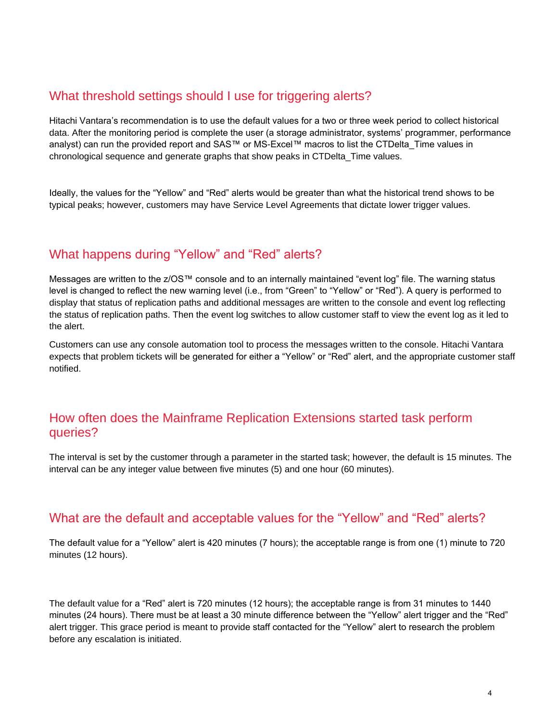#### <span id="page-4-0"></span>What threshold settings should I use for triggering alerts?

Hitachi Vantara's recommendation is to use the default values for a two or three week period to collect historical data. After the monitoring period is complete the user (a storage administrator, systems' programmer, performance analyst) can run the provided report and SAS™ or MS-Excel™ macros to list the CTDelta\_Time values in chronological sequence and generate graphs that show peaks in CTDelta\_Time values.

Ideally, the values for the "Yellow" and "Red" alerts would be greater than what the historical trend shows to be typical peaks; however, customers may have Service Level Agreements that dictate lower trigger values.

### <span id="page-4-1"></span>What happens during "Yellow" and "Red" alerts?

Messages are written to the z/OS™ console and to an internally maintained "event log" file. The warning status level is changed to reflect the new warning level (i.e., from "Green" to "Yellow" or "Red"). A query is performed to display that status of replication paths and additional messages are written to the console and event log reflecting the status of replication paths. Then the event log switches to allow customer staff to view the event log as it led to the alert.

Customers can use any console automation tool to process the messages written to the console. Hitachi Vantara expects that problem tickets will be generated for either a "Yellow" or "Red" alert, and the appropriate customer staff notified.

#### <span id="page-4-2"></span>How often does the Mainframe Replication Extensions started task perform queries?

The interval is set by the customer through a parameter in the started task; however, the default is 15 minutes. The interval can be any integer value between five minutes (5) and one hour (60 minutes).

#### <span id="page-4-3"></span>What are the default and acceptable values for the "Yellow" and "Red" alerts?

The default value for a "Yellow" alert is 420 minutes (7 hours); the acceptable range is from one (1) minute to 720 minutes (12 hours).

The default value for a "Red" alert is 720 minutes (12 hours); the acceptable range is from 31 minutes to 1440 minutes (24 hours). There must be at least a 30 minute difference between the "Yellow" alert trigger and the "Red" alert trigger. This grace period is meant to provide staff contacted for the "Yellow" alert to research the problem before any escalation is initiated.